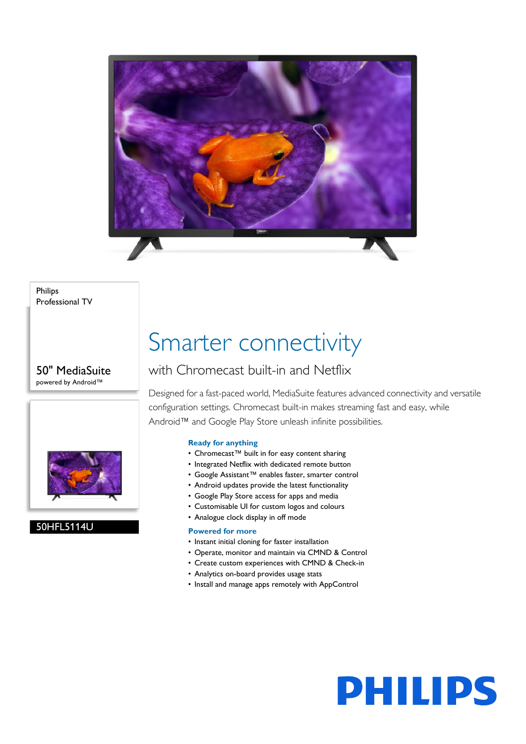

Philips Professional TV

50" MediaSuite powered by Android™



#### 50HFL5114U

## Smarter connectivity

### with Chromecast built-in and Netflix

Designed for a fast-paced world, MediaSuite features advanced connectivity and versatile configuration settings. Chromecast built-in makes streaming fast and easy, while Android™ and Google Play Store unleash infinite possibilities.

#### **Ready for anything**

- Chromecast™ built in for easy content sharing
- Integrated Netflix with dedicated remote button
- Google Assistant™ enables faster, smarter control
- Android updates provide the latest functionality
- Google Play Store access for apps and media
- Customisable UI for custom logos and colours
- Analogue clock display in off mode

#### **Powered for more**

- Instant initial cloning for faster installation
- Operate, monitor and maintain via CMND & Control
- Create custom experiences with CMND & Check-in
- Analytics on-board provides usage stats
- Install and manage apps remotely with AppControl

# **PHILIPS**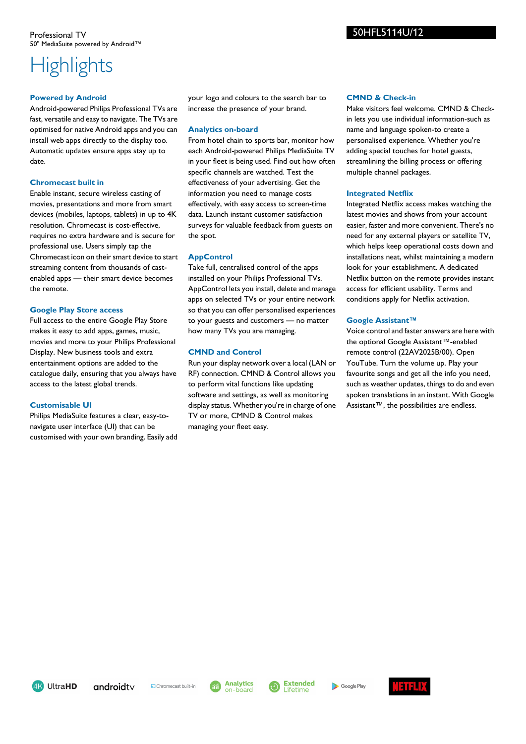### **Highlights**

#### **Powered by Android**

Android-powered Philips Professional TVs are fast, versatile and easy to navigate. The TVs are optimised for native Android apps and you can install web apps directly to the display too. Automatic updates ensure apps stay up to date.

#### **Chromecast built in**

Enable instant, secure wireless casting of movies, presentations and more from smart devices (mobiles, laptops, tablets) in up to 4K resolution. Chromecast is cost-effective, requires no extra hardware and is secure for professional use. Users simply tap the Chromecast icon on their smart device to start streaming content from thousands of castenabled apps — their smart device becomes the remote.

#### **Google Play Store access**

Full access to the entire Google Play Store makes it easy to add apps, games, music, movies and more to your Philips Professional Display. New business tools and extra entertainment options are added to the catalogue daily, ensuring that you always have access to the latest global trends.

#### **Customisable UI**

Philips MediaSuite features a clear, easy-tonavigate user interface (UI) that can be customised with your own branding. Easily add your logo and colours to the search bar to increase the presence of your brand.

#### **Analytics on-board**

From hotel chain to sports bar, monitor how each Android-powered Philips MediaSuite TV in your fleet is being used. Find out how often specific channels are watched. Test the effectiveness of your advertising. Get the information you need to manage costs effectively, with easy access to screen-time data. Launch instant customer satisfaction surveys for valuable feedback from guests on the spot.

#### **AppControl**

Take full, centralised control of the apps installed on your Philips Professional TVs. AppControl lets you install, delete and manage apps on selected TVs or your entire network so that you can offer personalised experiences to your guests and customers — no matter how many TVs you are managing.

#### **CMND and Control**

Run your display network over a local (LAN or RF) connection. CMND & Control allows you to perform vital functions like updating software and settings, as well as monitoring display status. Whether you're in charge of one TV or more, CMND & Control makes managing your fleet easy.

#### **CMND & Check-in**

Make visitors feel welcome. CMND & Checkin lets you use individual information-such as name and language spoken-to create a personalised experience. Whether you're adding special touches for hotel guests, streamlining the billing process or offering multiple channel packages.

#### **Integrated Netflix**

Integrated Netflix access makes watching the latest movies and shows from your account easier, faster and more convenient. There's no need for any external players or satellite TV, which helps keep operational costs down and installations neat, whilst maintaining a modern look for your establishment. A dedicated Netflix button on the remote provides instant access for efficient usability. Terms and conditions apply for Netflix activation.

#### **Google Assistant™**

Voice control and faster answers are here with the optional Google Assistant™-enabled remote control (22AV2025B/00). Open YouTube. Turn the volume up. Play your favourite songs and get all the info you need, such as weather updates, things to do and even spoken translations in an instant. With Google Assistant™, the possibilities are endless.

4K UltraHD

Chromecast built-in